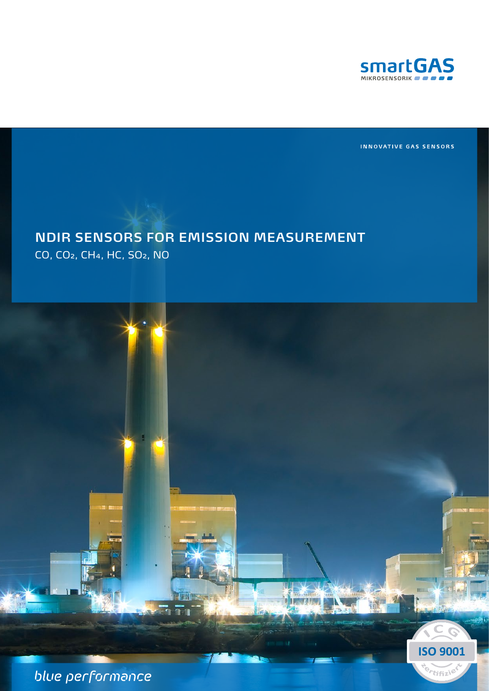

INNOVATIVE GAS SENSORS

**ISO 9001** 

<sup>Q</sup>rtifizie

# **NDIR SENSORS FOR EMISSION MEASUREMENT**

CO, CO2, CH4, HC, SO2, NO

blue performance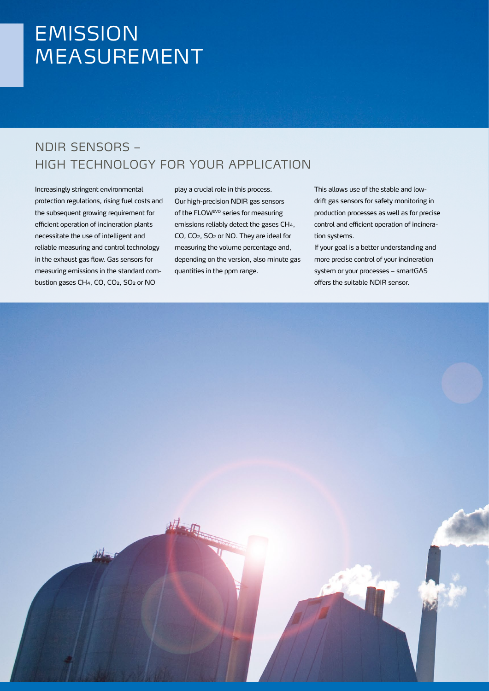## **EMISSION** MEASUREMENT

### NDIR SENSORS – HIGH TECHNOLOGY FOR YOUR APPLICATION

Increasingly stringent environmental protection regulations, rising fuel costs and the subsequent growing requirement for efficient operation of incineration plants necessitate the use of intelligent and reliable measuring and control technology in the exhaust gas flow. Gas sensors for measuring emissions in the standard combustion gases CH4, CO, CO2, SO<sub>2</sub> or NO

play a crucial role in this process. Our high-precision NDIR gas sensors of the FLOWEVO series for measuring emissions reliably detect the gases CH4, CO, CO2, SO2 or NO. They are ideal for measuring the volume percentage and, depending on the version, also minute gas quantities in the ppm range.

This allows use of the stable and lowdrift gas sensors for safety monitoring in production processes as well as for precise control and efficient operation of incineration systems.

If your goal is a better understanding and more precise control of your incineration system or your processes – smartGAS offers the suitable NDIR sensor.

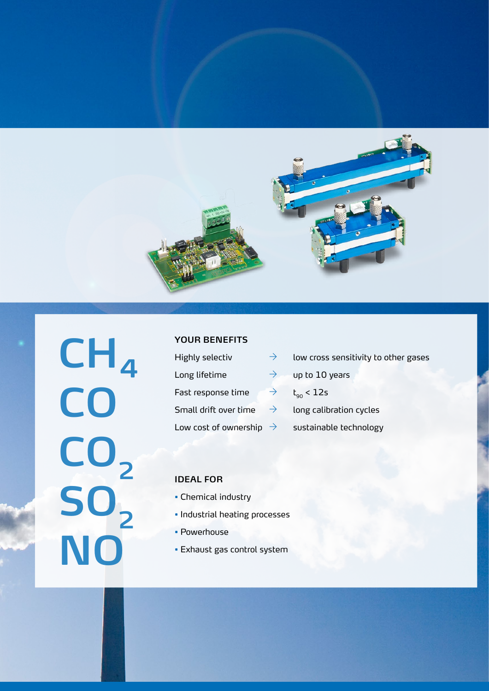

**CH₄ CO CO2 SO2 NO**

#### **YOUR BENEFITS**

| Highly selectiv                     | $\rightarrow$ | low cross sensitivity to other gases |
|-------------------------------------|---------------|--------------------------------------|
| Long lifetime                       | $\rightarrow$ | up to 10 years                       |
| Fast response time                  | $\rightarrow$ | $t_{\rm on}$ < 12s                   |
| Small drift over time               | $\rightarrow$ | long calibration cycles              |
| Low cost of ownership $\rightarrow$ |               | sustainable technology               |

#### **IDEAL FOR**

- Chemical industry
- Industrial heating processes
- Powerhouse
- Exhaust gas control system